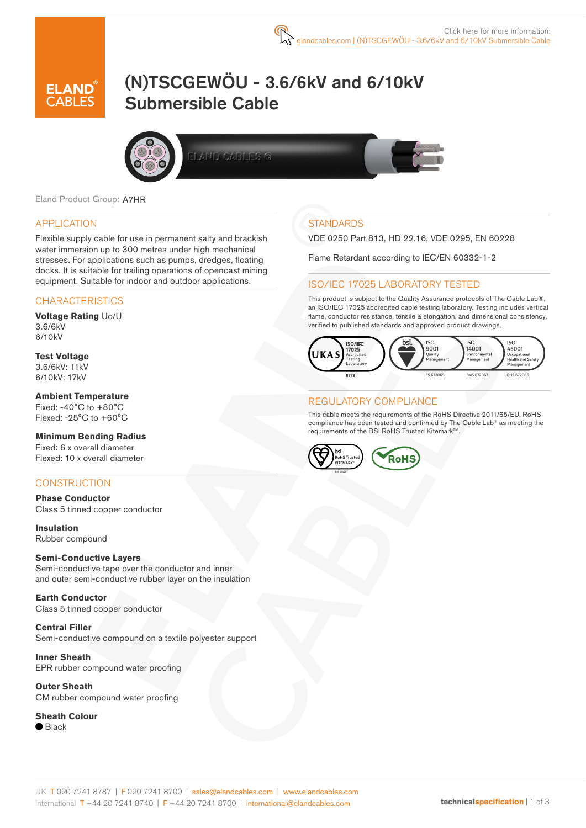

# (N)TSCGEWÖU - 3.6/6kV and 6/10kV Submersible Cable



ELAND CABLES G



## APPLICATION

Flexible supply cable for use in permanent salty and brackish water immersion up to 300 metres under high mechanical stresses. For applications such as pumps, dredges, floating docks. It is suitable for trailing operations of opencast mining equipment. Suitable for indoor and outdoor applications.

## **CHARACTERISTICS**

**Voltage Rating** Uo/U 3.6/6kV 6/10kV

#### **Test Voltage** 3.6/6kV: 11kV 6/10kV: 17kV

**Ambient Temperature** Fixed:  $-40^{\circ}$ C to  $+80^{\circ}$ C Flexed: -25°C to +60°C

**Minimum Bending Radius** Fixed: 6 x overall diameter Flexed: 10 x overall diameter

## **CONSTRUCTION**

**Phase Conductor** Class 5 tinned copper conductor

**Insulation** Rubber compound

#### **Semi-Conductive Layers**

Semi-conductive tape over the conductor and inner and outer semi-conductive rubber layer on the insulation

**Earth Conductor** Class 5 tinned copper conductor

**Central Filler** Semi-conductive compound on a textile polyester support

**Inner Sheath** EPR rubber compound water proofing

**Outer Sheath** CM rubber compound water proofing

#### **Sheath Colour**

 $\bullet$  Black

# **STANDARDS**

VDE 0250 Part 813, HD 22.16, VDE 0295, EN 60228

Flame Retardant according to IEC/EN 60332-1-2

## ISO/IEC 17025 LABORATORY TESTED

This product is subject to the Quality Assurance protocols of The Cable Lab®, an ISO/IEC 17025 accredited cable testing laboratory. Testing includes vertical flame, conductor resistance, tensile & elongation, and dimensional consistency, verified to published standards and approved product drawings.



## REGULATORY COMPLIANCE

This cable meets the requirements of the RoHS Directive 2011/65/EU. RoHS compliance has been tested and confirmed by The Cable Lab® as meeting the requirements of the BSI RoHS Trusted Kitemark™.

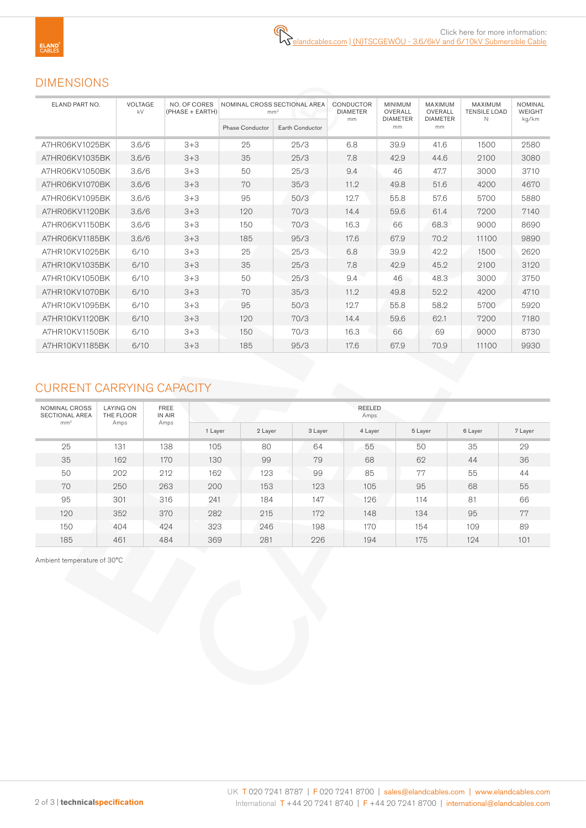# DIMENSIONS

| ELAND PART NO. | VOLTAGE<br>kV | NO. OF CORES<br>(PHASE + EARTH) |                        | NOMINAL CROSS SECTIONAL AREA<br>mm <sup>2</sup> | CONDUCTOR<br><b>DIAMETER</b> | <b>MINIMUM</b><br>OVERALL | MAXIMUM<br>OVERALL    | <b>MAXIMUM</b><br><b>TENSILE LOAD</b> | <b>NOMINAL</b><br><b>WEIGHT</b> |  |
|----------------|---------------|---------------------------------|------------------------|-------------------------------------------------|------------------------------|---------------------------|-----------------------|---------------------------------------|---------------------------------|--|
|                |               |                                 | <b>Phase Conductor</b> | Earth Conductor                                 | mm                           | <b>DIAMETER</b><br>mm     | <b>DIAMETER</b><br>mm | N                                     | kg/km                           |  |
| A7HR06KV1025BK | 3.6/6         | $3 + 3$                         | 25                     | 25/3                                            | 6.8                          | 39.9                      | 41.6                  | 1500                                  | 2580                            |  |
| A7HR06KV1035BK | 3.6/6         | $3 + 3$                         | 35                     | 25/3                                            | 7.8                          | 42.9                      | 44.6                  | 2100                                  | 3080                            |  |
| A7HR06KV1050BK | 3.6/6         | $3 + 3$                         | 50                     | 25/3                                            | 9.4                          | 46                        | 47.7                  | 3000                                  | 3710                            |  |
| A7HR06KV1070BK | 3.6/6         | $3 + 3$                         | 70                     | 35/3                                            | 11.2                         | 49.8                      | 51.6                  | 4200                                  | 4670                            |  |
| A7HR06KV1095BK | 3.6/6         | $3 + 3$                         | 95                     | 50/3                                            | 12.7                         | 55.8                      | 57.6                  | 5700                                  | 5880                            |  |
| A7HR06KV1120BK | 3.6/6         | $3 + 3$                         | 120                    | 70/3                                            | 14.4                         | 59.6                      | 61.4                  | 7200                                  | 7140                            |  |
| A7HR06KV1150BK | 3.6/6         | $3 + 3$                         | 150                    | 70/3                                            | 16.3                         | 66                        | 68.3                  | 9000                                  | 8690                            |  |
| A7HR06KV1185BK | 3.6/6         | $3 + 3$                         | 185                    | 95/3                                            | 17.6                         | 67.9                      | 70.2                  | 11100                                 | 9890                            |  |
| A7HR10KV1025BK | 6/10          | $3 + 3$                         | 25                     | 25/3                                            | 6.8                          | 39.9                      | 42.2                  | 1500                                  | 2620                            |  |
| A7HR10KV1035BK | 6/10          | $3 + 3$                         | 35                     | 25/3                                            | 7.8                          | 42.9                      | 45.2                  | 2100                                  | 3120                            |  |
| A7HR10KV1050BK | 6/10          | $3 + 3$                         | 50                     | 25/3                                            | 9.4                          | 46                        | 48.3                  | 3000                                  | 3750                            |  |
| A7HR10KV1070BK | 6/10          | $3 + 3$                         | 70                     | 35/3                                            | 11.2                         | 49.8                      | 52.2                  | 4200                                  | 4710                            |  |
| A7HR10KV1095BK | 6/10          | $3 + 3$                         | 95                     | 50/3                                            | 12.7                         | 55.8                      | 58.2                  | 5700                                  | 5920                            |  |
| A7HR10KV1120BK | 6/10          | $3 + 3$                         | 120                    | 70/3                                            | 14.4                         | 59.6                      | 62.1                  | 7200                                  | 7180                            |  |
| A7HR10KV1150BK | 6/10          | $3 + 3$                         | 150                    | 70/3                                            | 16.3                         | 66                        | 69                    | 9000                                  | 8730                            |  |
| A7HR10KV1185BK | 6/10          | $3 + 3$                         | 185                    | 95/3                                            | 17.6                         | 67.9                      | 70.9                  | 11100                                 | 9930                            |  |

# CURRENT CARRYING CAPACITY

| NOMINAL CROSS<br><b>SECTIONAL AREA</b><br>mm <sup>2</sup> | <b>LAYING ON</b><br>THE FLOOR<br>Amps | <b>FREE</b><br>IN AIR<br>Amps | REELED<br>Amps |         |         |         |         |         |         |  |  |  |
|-----------------------------------------------------------|---------------------------------------|-------------------------------|----------------|---------|---------|---------|---------|---------|---------|--|--|--|
|                                                           |                                       |                               | 1 Layer        | 2 Layer | 3 Layer | 4 Layer | 5 Layer | 6 Layer | 7 Layer |  |  |  |
| 25                                                        | 131                                   | 138                           | 105            | 80      | 64      | 55      | 50      | 35      | 29      |  |  |  |
| 35                                                        | 162                                   | 170                           | 130            | 99      | 79      | 68      | 62      | 44      | 36      |  |  |  |
| 50                                                        | 202                                   | 212                           | 162            | 123     | 99      | 85      | 77      | 55      | 44      |  |  |  |
| 70                                                        | 250                                   | 263                           | 200            | 153     | 123     | 105     | 95      | 68      | 55      |  |  |  |
| 95                                                        | 301                                   | 316                           | 241            | 184     | 147     | 126     | 114     | 81      | 66      |  |  |  |
| 120                                                       | 352                                   | 370                           | 282            | 215     | 172     | 148     | 134     | 95      | 77      |  |  |  |
| 150                                                       | 404                                   | 424                           | 323            | 246     | 198     | 170     | 154     | 109     | 89      |  |  |  |
| 185                                                       | 461                                   | 484                           | 369            | 281     | 226     | 194     | 175     | 124     | 101     |  |  |  |

Ambient temperature of 30°C